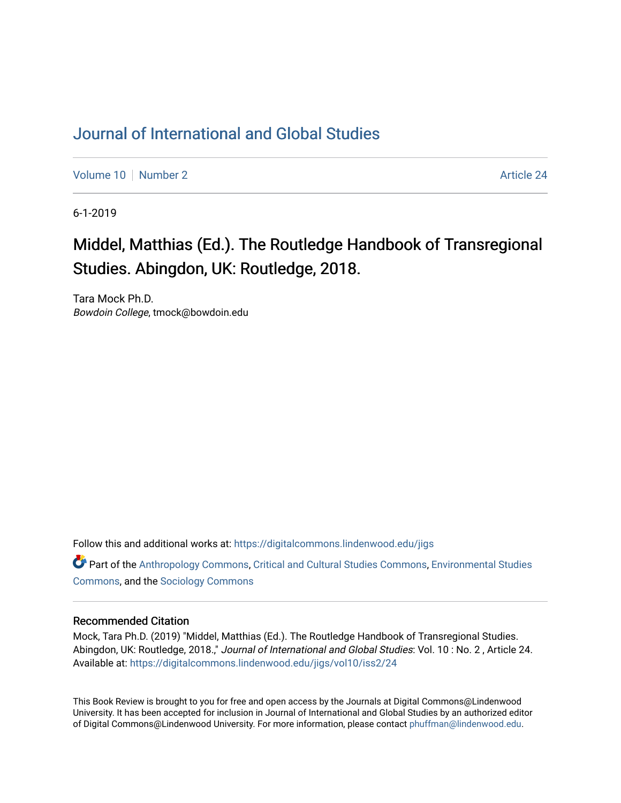## [Journal of International and Global Studies](https://digitalcommons.lindenwood.edu/jigs)

[Volume 10](https://digitalcommons.lindenwood.edu/jigs/vol10) [Number 2](https://digitalcommons.lindenwood.edu/jigs/vol10/iss2) Article 24

6-1-2019

## Middel, Matthias (Ed.). The Routledge Handbook of Transregional Studies. Abingdon, UK: Routledge, 2018.

Tara Mock Ph.D. Bowdoin College, tmock@bowdoin.edu

Follow this and additional works at: [https://digitalcommons.lindenwood.edu/jigs](https://digitalcommons.lindenwood.edu/jigs?utm_source=digitalcommons.lindenwood.edu%2Fjigs%2Fvol10%2Fiss2%2F24&utm_medium=PDF&utm_campaign=PDFCoverPages) 

**C** Part of the [Anthropology Commons](http://network.bepress.com/hgg/discipline/318?utm_source=digitalcommons.lindenwood.edu%2Fjigs%2Fvol10%2Fiss2%2F24&utm_medium=PDF&utm_campaign=PDFCoverPages), [Critical and Cultural Studies Commons](http://network.bepress.com/hgg/discipline/328?utm_source=digitalcommons.lindenwood.edu%2Fjigs%2Fvol10%2Fiss2%2F24&utm_medium=PDF&utm_campaign=PDFCoverPages), Environmental Studies [Commons](http://network.bepress.com/hgg/discipline/1333?utm_source=digitalcommons.lindenwood.edu%2Fjigs%2Fvol10%2Fiss2%2F24&utm_medium=PDF&utm_campaign=PDFCoverPages), and the [Sociology Commons](http://network.bepress.com/hgg/discipline/416?utm_source=digitalcommons.lindenwood.edu%2Fjigs%2Fvol10%2Fiss2%2F24&utm_medium=PDF&utm_campaign=PDFCoverPages)

## Recommended Citation

Mock, Tara Ph.D. (2019) "Middel, Matthias (Ed.). The Routledge Handbook of Transregional Studies. Abingdon, UK: Routledge, 2018.," Journal of International and Global Studies: Vol. 10 : No. 2 , Article 24. Available at: [https://digitalcommons.lindenwood.edu/jigs/vol10/iss2/24](https://digitalcommons.lindenwood.edu/jigs/vol10/iss2/24?utm_source=digitalcommons.lindenwood.edu%2Fjigs%2Fvol10%2Fiss2%2F24&utm_medium=PDF&utm_campaign=PDFCoverPages) 

This Book Review is brought to you for free and open access by the Journals at Digital Commons@Lindenwood University. It has been accepted for inclusion in Journal of International and Global Studies by an authorized editor of Digital Commons@Lindenwood University. For more information, please contact [phuffman@lindenwood.edu](mailto:phuffman@lindenwood.edu).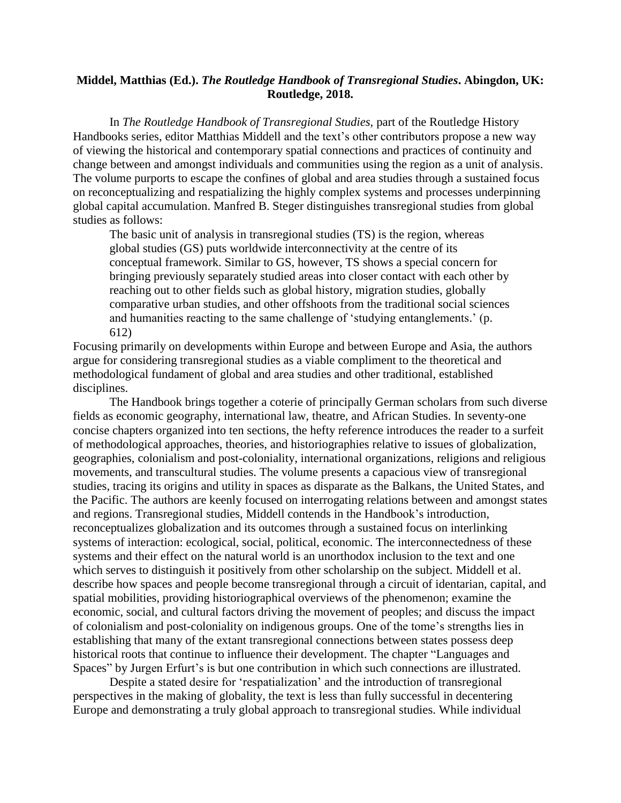## **Middel, Matthias (Ed.).** *The Routledge Handbook of Transregional Studies***. Abingdon, UK: Routledge, 2018.**

In *The Routledge Handbook of Transregional Studies,* part of the Routledge History Handbooks series, editor Matthias Middell and the text's other contributors propose a new way of viewing the historical and contemporary spatial connections and practices of continuity and change between and amongst individuals and communities using the region as a unit of analysis. The volume purports to escape the confines of global and area studies through a sustained focus on reconceptualizing and respatializing the highly complex systems and processes underpinning global capital accumulation. Manfred B. Steger distinguishes transregional studies from global studies as follows:

The basic unit of analysis in transregional studies (TS) is the region, whereas global studies (GS) puts worldwide interconnectivity at the centre of its conceptual framework. Similar to GS, however, TS shows a special concern for bringing previously separately studied areas into closer contact with each other by reaching out to other fields such as global history, migration studies, globally comparative urban studies, and other offshoots from the traditional social sciences and humanities reacting to the same challenge of 'studying entanglements.' (p. 612)

Focusing primarily on developments within Europe and between Europe and Asia, the authors argue for considering transregional studies as a viable compliment to the theoretical and methodological fundament of global and area studies and other traditional, established disciplines.

The Handbook brings together a coterie of principally German scholars from such diverse fields as economic geography, international law, theatre, and African Studies. In seventy-one concise chapters organized into ten sections, the hefty reference introduces the reader to a surfeit of methodological approaches, theories, and historiographies relative to issues of globalization, geographies, colonialism and post-coloniality, international organizations, religions and religious movements, and transcultural studies. The volume presents a capacious view of transregional studies, tracing its origins and utility in spaces as disparate as the Balkans, the United States, and the Pacific. The authors are keenly focused on interrogating relations between and amongst states and regions. Transregional studies, Middell contends in the Handbook's introduction, reconceptualizes globalization and its outcomes through a sustained focus on interlinking systems of interaction: ecological, social, political, economic. The interconnectedness of these systems and their effect on the natural world is an unorthodox inclusion to the text and one which serves to distinguish it positively from other scholarship on the subject. Middell et al. describe how spaces and people become transregional through a circuit of identarian, capital, and spatial mobilities, providing historiographical overviews of the phenomenon; examine the economic, social, and cultural factors driving the movement of peoples; and discuss the impact of colonialism and post-coloniality on indigenous groups. One of the tome's strengths lies in establishing that many of the extant transregional connections between states possess deep historical roots that continue to influence their development. The chapter "Languages and Spaces" by Jurgen Erfurt's is but one contribution in which such connections are illustrated.

Despite a stated desire for 'respatialization' and the introduction of transregional perspectives in the making of globality, the text is less than fully successful in decentering Europe and demonstrating a truly global approach to transregional studies. While individual